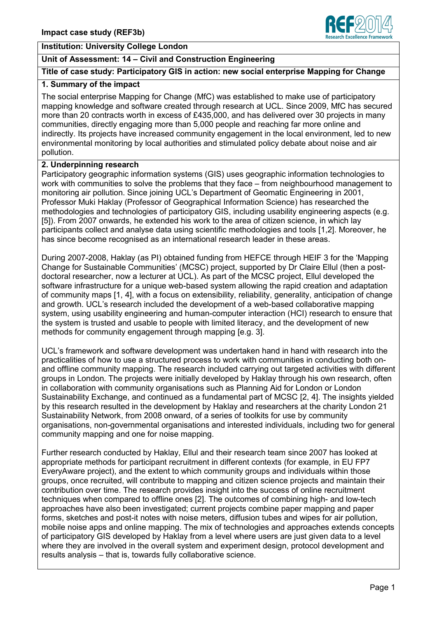

### **Institution: University College London**

# **Unit of Assessment: 14 – Civil and Construction Engineering**

## **Title of case study: Participatory GIS in action: new social enterprise Mapping for Change**

### **1. Summary of the impact**

The social enterprise Mapping for Change (MfC) was established to make use of participatory mapping knowledge and software created through research at UCL. Since 2009, MfC has secured more than 20 contracts worth in excess of £435,000, and has delivered over 30 projects in many communities, directly engaging more than 5,000 people and reaching far more online and indirectly. Its projects have increased community engagement in the local environment, led to new environmental monitoring by local authorities and stimulated policy debate about noise and air pollution.

#### **2. Underpinning research**

Participatory geographic information systems (GIS) uses geographic information technologies to work with communities to solve the problems that they face – from neighbourhood management to monitoring air pollution. Since joining UCL's Department of Geomatic Engineering in 2001, Professor Muki Haklay (Professor of Geographical Information Science) has researched the methodologies and technologies of participatory GIS, including usability engineering aspects (e.g. [5]). From 2007 onwards, he extended his work to the area of citizen science, in which lay participants collect and analyse data using scientific methodologies and tools [1,2]. Moreover, he has since become recognised as an international research leader in these areas.

During 2007-2008, Haklay (as PI) obtained funding from HEFCE through HEIF 3 for the 'Mapping Change for Sustainable Communities' (MCSC) project, supported by Dr Claire Ellul (then a postdoctoral researcher, now a lecturer at UCL). As part of the MCSC project, Ellul developed the software infrastructure for a unique web-based system allowing the rapid creation and adaptation of community maps [1, 4], with a focus on extensibility, reliability, generality, anticipation of change and growth. UCL's research included the development of a web-based collaborative mapping system, using usability engineering and human-computer interaction (HCI) research to ensure that the system is trusted and usable to people with limited literacy, and the development of new methods for community engagement through mapping [e.g. 3].

UCL's framework and software development was undertaken hand in hand with research into the practicalities of how to use a structured process to work with communities in conducting both onand offline community mapping. The research included carrying out targeted activities with different groups in London. The projects were initially developed by Haklay through his own research, often in collaboration with community organisations such as Planning Aid for London or London Sustainability Exchange, and continued as a fundamental part of MCSC [2, 4]. The insights yielded by this research resulted in the development by Haklay and researchers at the charity London 21 Sustainability Network, from 2008 onward, of a series of toolkits for use by community organisations, non-governmental organisations and interested individuals, including two for general community mapping and one for noise mapping.

Further research conducted by Haklay, Ellul and their research team since 2007 has looked at appropriate methods for participant recruitment in different contexts (for example, in EU FP7 EveryAware project), and the extent to which community groups and individuals within those groups, once recruited, will contribute to mapping and citizen science projects and maintain their contribution over time. The research provides insight into the success of online recruitment techniques when compared to offline ones [2]. The outcomes of combining high- and low-tech approaches have also been investigated; current projects combine paper mapping and paper forms, sketches and post-it notes with noise meters, diffusion tubes and wipes for air pollution, mobile noise apps and online mapping. The mix of technologies and approaches extends concepts of participatory GIS developed by Haklay from a level where users are just given data to a level where they are involved in the overall system and experiment design, protocol development and results analysis – that is, towards fully collaborative science.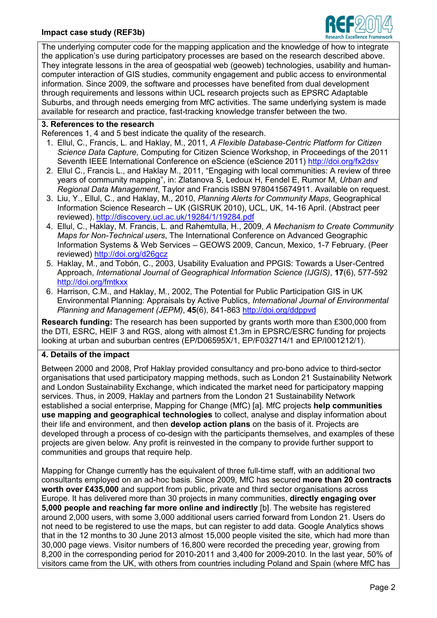### **Impact case study (REF3b)**



The underlying computer code for the mapping application and the knowledge of how to integrate the application's use during participatory processes are based on the research described above. They integrate lessons in the area of geospatial web (geoweb) technologies, usability and humancomputer interaction of GIS studies, community engagement and public access to environmental information. Since 2009, the software and processes have benefited from dual development through requirements and lessons within UCL research projects such as EPSRC Adaptable Suburbs, and through needs emerging from MfC activities. The same underlying system is made available for research and practice, fast-tracking knowledge transfer between the two.

### **3. References to the research**

References 1, 4 and 5 best indicate the quality of the research.

- 1. Ellul, C., Francis, L. and Haklay, M., 2011, *A Flexible Database-Centric Platform for Citizen Science Data Capture*, Computing for Citizen Science Workshop, in Proceedings of the 2011 Seventh IEEE International Conference on eScience (eScience 2011) <http://doi.org/fx2dsv>
- 2. Ellul C., Francis L., and Haklay M., 2011, "Engaging with local communities: A review of three years of community mapping", in: Zlatanova S, Ledoux H, Fendel E, Rumor M, *Urban and Regional Data Management*, Taylor and Francis ISBN 9780415674911. Available on request.
- 3. Liu, Y., Ellul, C., and Haklay, M., 2010, *Planning Alerts for Community Maps*, Geographical Information Science Research – UK (GISRUK 2010), UCL, UK, 14-16 April. (Abstract peer reviewed). <http://discovery.ucl.ac.uk/19284/1/19284.pdf>
- 4. Ellul, C., Haklay, M. Francis, L. and Rahemtulla, H., 2009, *A Mechanism to Create Community Maps for Non-Technical users*, The International Conference on Advanced Geographic Information Systems & Web Services – GEOWS 2009, Cancun, Mexico, 1-7 February. (Peer reviewed) <http://doi.org/d26gcz>
- 5. Haklay, M., and Tobón, C., 2003, Usability Evaluation and PPGIS: Towards a User-Centred Approach, *International Journal of Geographical Information Science (IJGIS)*, **17**(6), 577-592 <http://doi.org/fmtkxx>
- 6. Harrison, C.M., and Haklay, M., 2002, The Potential for Public Participation GIS in UK Environmental Planning: Appraisals by Active Publics, *International Journal of Environmental Planning and Management (JEPM)*, **45**(6), 841-863 <http://doi.org/ddppvd>

**Research funding:** The research has been supported by grants worth more than £300,000 from the DTI, ESRC, HEIF 3 and RGS, along with almost £1.3m in EPSRC/ESRC funding for projects looking at urban and suburban centres (EP/D06595X/1, EP/F032714/1 and EP/I001212/1).

#### **4. Details of the impact**

Between 2000 and 2008, Prof Haklay provided consultancy and pro-bono advice to third-sector organisations that used participatory mapping methods, such as London 21 Sustainability Network and London Sustainability Exchange, which indicated the market need for participatory mapping services. Thus, in 2009, Haklay and partners from the London 21 Sustainability Network established a social enterprise, Mapping for Change (MfC) [a]. MfC projects **help communities use mapping and geographical technologies** to collect, analyse and display information about their life and environment, and then **develop action plans** on the basis of it. Projects are developed through a process of co-design with the participants themselves, and examples of these projects are given below. Any profit is reinvested in the company to provide further support to communities and groups that require help.

Mapping for Change currently has the equivalent of three full-time staff, with an additional two consultants employed on an ad-hoc basis. Since 2009, MfC has secured **more than 20 contracts worth over £435,000** and support from public, private and third sector organisations across Europe. It has delivered more than 30 projects in many communities, **directly engaging over 5,000 people and reaching far more online and indirectly** [b]. The website has registered around 2,000 users, with some 3,000 additional users carried forward from London 21. Users do not need to be registered to use the maps, but can register to add data. Google Analytics shows that in the 12 months to 30 June 2013 almost 15,000 people visited the site, which had more than 30,000 page views. Visitor numbers of 16,800 were recorded the preceding year, growing from 8,200 in the corresponding period for 2010-2011 and 3,400 for 2009-2010. In the last year, 50% of visitors came from the UK, with others from countries including Poland and Spain (where MfC has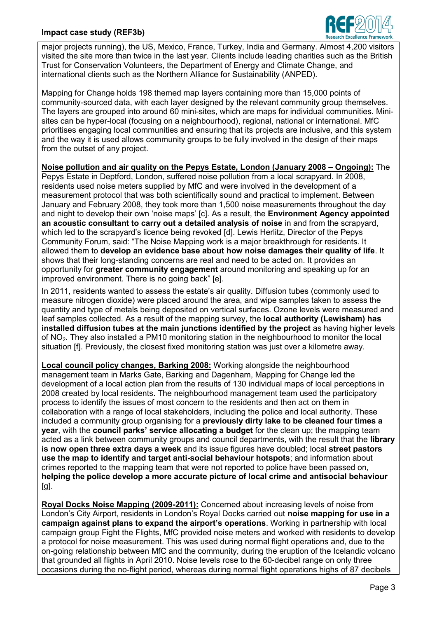

major projects running), the US, Mexico, France, Turkey, India and Germany. Almost 4,200 visitors visited the site more than twice in the last year. Clients include leading charities such as the British Trust for Conservation Volunteers, the Department of Energy and Climate Change, and international clients such as the Northern Alliance for Sustainability (ANPED).

Mapping for Change holds 198 themed map layers containing more than 15,000 points of community-sourced data, with each layer designed by the relevant community group themselves. The layers are grouped into around 60 mini-sites, which are maps for individual communities. Minisites can be hyper-local (focusing on a neighbourhood), regional, national or international. MfC prioritises engaging local communities and ensuring that its projects are inclusive, and this system and the way it is used allows community groups to be fully involved in the design of their maps from the outset of any project.

**Noise pollution and air quality on the Pepys Estate, London (January 2008 – Ongoing):** The Pepys Estate in Deptford, London, suffered noise pollution from a local scrapyard. In 2008, residents used noise meters supplied by MfC and were involved in the development of a measurement protocol that was both scientifically sound and practical to implement. Between January and February 2008, they took more than 1,500 noise measurements throughout the day and night to develop their own 'noise maps' [c]. As a result, the **Environment Agency appointed an acoustic consultant to carry out a detailed analysis of noise** in and from the scrapyard, which led to the scrapyard's licence being revoked [d]. Lewis Herlitz, Director of the Pepys Community Forum, said: "The Noise Mapping work is a major breakthrough for residents. It allowed them to **develop an evidence base about how noise damages their quality of life**. It shows that their long-standing concerns are real and need to be acted on. It provides an opportunity for **greater community engagement** around monitoring and speaking up for an improved environment. There is no going back" [e].

In 2011, residents wanted to assess the estate's air quality. Diffusion tubes (commonly used to measure nitrogen dioxide) were placed around the area, and wipe samples taken to assess the quantity and type of metals being deposited on vertical surfaces. Ozone levels were measured and leaf samples collected. As a result of the mapping survey, the **local authority (Lewisham) has installed diffusion tubes at the main junctions identified by the project** as having higher levels of NO2. They also installed a PM10 monitoring station in the neighbourhood to monitor the local situation [f]. Previously, the closest fixed monitoring station was just over a kilometre away.

**Local council policy changes, Barking 2008:** Working alongside the neighbourhood management team in Marks Gate, Barking and Dagenham, Mapping for Change led the development of a local action plan from the results of 130 individual maps of local perceptions in 2008 created by local residents. The neighbourhood management team used the participatory process to identify the issues of most concern to the residents and then act on them in collaboration with a range of local stakeholders, including the police and local authority. These included a community group organising for a **previously dirty lake to be cleaned four times a year**, with the **council parks' service allocating a budget** for the clean up; the mapping team acted as a link between community groups and council departments, with the result that the **library is now open three extra days a week** and its issue figures have doubled; local **street pastors use the map to identify and target anti-social behaviour hotspots**; and information about crimes reported to the mapping team that were not reported to police have been passed on, **helping the police develop a more accurate picture of local crime and antisocial behaviour**  $[a]$ .

**Royal Docks Noise Mapping (2009-2011):** Concerned about increasing levels of noise from London's City Airport, residents in London's Royal Docks carried out **noise mapping for use in a campaign against plans to expand the airport's operations**. Working in partnership with local campaign group Fight the Flights, MfC provided noise meters and worked with residents to develop a protocol for noise measurement. This was used during normal flight operations and, due to the on-going relationship between MfC and the community, during the eruption of the Icelandic volcano that grounded all flights in April 2010. Noise levels rose to the 60-decibel range on only three occasions during the no-flight period, whereas during normal flight operations highs of 87 decibels